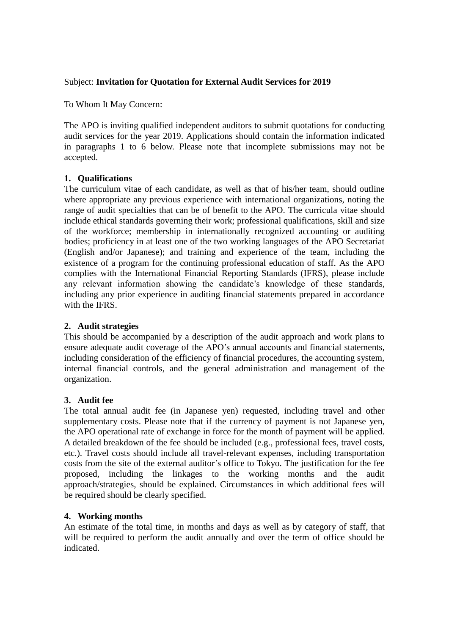## Subject: **Invitation for Quotation for External Audit Services for 2019**

To Whom It May Concern:

The APO is inviting qualified independent auditors to submit quotations for conducting audit services for the year 2019. Applications should contain the information indicated in paragraphs 1 to 6 below. Please note that incomplete submissions may not be accepted.

# **1. Qualifications**

The curriculum vitae of each candidate, as well as that of his/her team, should outline where appropriate any previous experience with international organizations, noting the range of audit specialties that can be of benefit to the APO. The curricula vitae should include ethical standards governing their work; professional qualifications, skill and size of the workforce; membership in internationally recognized accounting or auditing bodies; proficiency in at least one of the two working languages of the APO Secretariat (English and/or Japanese); and training and experience of the team, including the existence of a program for the continuing professional education of staff. As the APO complies with the International Financial Reporting Standards (IFRS), please include any relevant information showing the candidate's knowledge of these standards, including any prior experience in auditing financial statements prepared in accordance with the IFRS.

### **2. Audit strategies**

This should be accompanied by a description of the audit approach and work plans to ensure adequate audit coverage of the APO's annual accounts and financial statements, including consideration of the efficiency of financial procedures, the accounting system, internal financial controls, and the general administration and management of the organization.

### **3. Audit fee**

The total annual audit fee (in Japanese yen) requested, including travel and other supplementary costs. Please note that if the currency of payment is not Japanese yen, the APO operational rate of exchange in force for the month of payment will be applied. A detailed breakdown of the fee should be included (e.g., professional fees, travel costs, etc.). Travel costs should include all travel-relevant expenses, including transportation costs from the site of the external auditor's office to Tokyo. The justification for the fee proposed, including the linkages to the working months and the audit approach/strategies, should be explained. Circumstances in which additional fees will be required should be clearly specified.

# **4. Working months**

An estimate of the total time, in months and days as well as by category of staff, that will be required to perform the audit annually and over the term of office should be indicated.